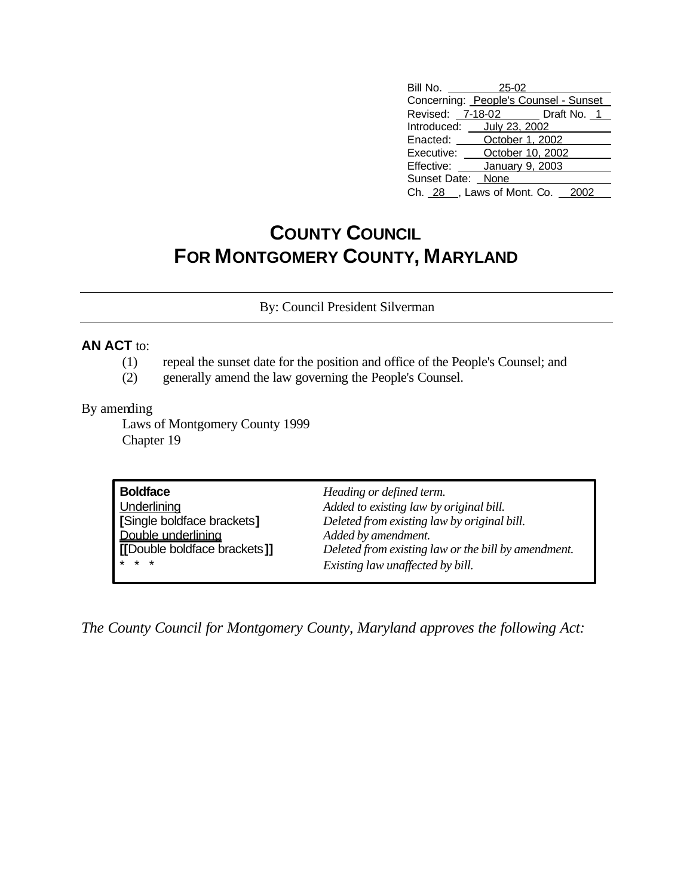| Bill No. 25-02                        |                                 |  |
|---------------------------------------|---------------------------------|--|
| Concerning: People's Counsel - Sunset |                                 |  |
|                                       | Revised: 7-18-02 Draft No. 1    |  |
|                                       | Introduced: ___ July 23, 2002   |  |
|                                       | Enacted: <b>October 1, 2002</b> |  |
| October 10, 2002<br>Executive:        |                                 |  |
| Effective:<br>January 9, 2003         |                                 |  |
| Sunset Date: None                     |                                 |  |
| Ch. 28 _, Laws of Mont. Co. 2002      |                                 |  |

## **COUNTY COUNCIL FOR MONTGOMERY COUNTY, MARYLAND**

By: Council President Silverman

## **AN ACT** to:

- (1) repeal the sunset date for the position and office of the People's Counsel; and
- (2) generally amend the law governing the People's Counsel.

## By amending

Laws of Montgomery County 1999 Chapter 19

| <b>Boldface</b>              | Heading or defined term.                            |
|------------------------------|-----------------------------------------------------|
| Underlining                  | Added to existing law by original bill.             |
| [Single boldface brackets]   | Deleted from existing law by original bill.         |
| Double underlining           | Added by amendment.                                 |
| [[Double boldface brackets]] | Deleted from existing law or the bill by amendment. |
| $* * *$                      | Existing law unaffected by bill.                    |

*The County Council for Montgomery County, Maryland approves the following Act:*